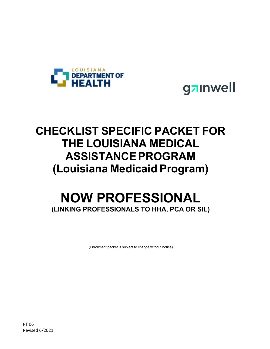



## **CHECKLIST SPECIFIC PACKET FOR THE LOUISIANA MEDICAL ASSISTANCEPROGRAM (Louisiana Medicaid Program)**

### **NOW PROFESSIONAL (LINKING PROFESSIONALS TO HHA, PCA OR SIL)**

(Enrollment packet is subject to change without notice)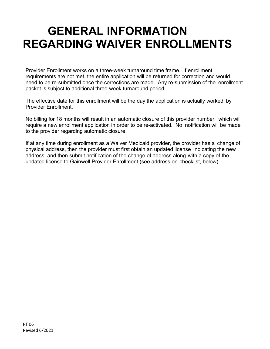## **GENERAL INFORMATION REGARDING WAIVER ENROLLMENTS**

Provider Enrollment works on a three-week turnaround time frame. If enrollment requirements are not met, the entire application will be returned for correction and would need to be re-submitted once the corrections are made. Any re-submission of the enrollment packet is subject to additional three-week turnaround period.

The effective date for this enrollment will be the day the application is actually worked by Provider Enrollment.

No billing for 18 months will result in an automatic closure of this provider number, which will require a new enrollment application in order to be re-activated. No notification will be made to the provider regarding automatic closure.

If at any time during enrollment as a Waiver Medicaid provider, the provider has a change of physical address, then the provider must first obtain an updated license indicating the new address, and then submit notification of the change of address along with a copy of the updated license to Gainwell Provider Enrollment (see address on checklist, below).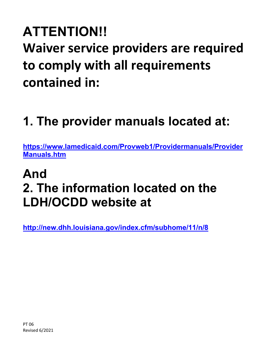# **ATTENTION!! Waiver service providers are required to comply with all requirements contained in:**

# **1. The provider manuals located at:**

**[https://www.lamedicaid.com/Provweb1/Providermanuals/Provider](https://www.lamedicaid.com/Provweb1/Providermanuals/ProviderManuals.htm) [Manuals.htm](https://www.lamedicaid.com/Provweb1/Providermanuals/ProviderManuals.htm)**

## **And 2. The information located on the LDH/OCDD website at**

**<http://new.dhh.louisiana.gov/index.cfm/subhome/11/n/8>**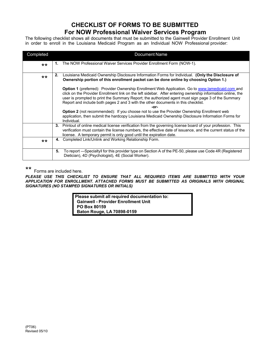#### **CHECKLIST OF FORMS TO BE SUBMITTED For NOW Professional Waiver Services Program**

The following checklist shows all documents that must be submitted to the Gainwell Provider Enrollment Unit in order to enroll in the Louisiana Medicaid Program as an Individual NOW Professional provider:

| Completed | Document Name                                                                                                                                                                                                                                                                                                                                                                                                       |
|-----------|---------------------------------------------------------------------------------------------------------------------------------------------------------------------------------------------------------------------------------------------------------------------------------------------------------------------------------------------------------------------------------------------------------------------|
| $***$     | The NOW Professional Waiver Services Provider Enrollment Form (NOW-1).                                                                                                                                                                                                                                                                                                                                              |
| $***$     | Louisiana Medicaid Ownership Disclosure Information Forms for Individual. (Only the Disclosure of<br>2.<br>Ownership portion of this enrollment packet can be done online by choosing Option 1.)                                                                                                                                                                                                                    |
|           | Option 1 (preferred): Provider Ownership Enrollment Web Application. Go to www.lamedicaid.com and<br>click on the Provider Enrollment link on the left sidebar. After entering ownership information online, the<br>user is prompted to print the Summary Report; the authorized agent must sign page 3 of the Summary<br>Report and include both pages 2 and 3 with the other documents in this checklist.<br>-or- |
|           | <b>Option 2</b> (not recommended): If you choose not to use the Provider Ownership Enrollment web<br>application, then submit the hardcopy Louisiana Medicaid Ownership Disclosure Information Forms for<br>Individual.                                                                                                                                                                                             |
|           | Printout of online medical license verification from the governing license board of your profession. This<br>3.<br>verification must contain the license numbers, the effective date of issuance, and the current status of the<br>license. A temporary permit is only good until the expiration date.                                                                                                              |
| $***$     | Completed Link/Unlink and Working Relationship Form.<br>4.                                                                                                                                                                                                                                                                                                                                                          |
|           | To report -Specialtyll for this provider type on Section A of the PE-50, please use Code 4R (Registered<br>5.<br>Dietician), 4D (Psychologist), 4E (Social Worker).                                                                                                                                                                                                                                                 |

\*\*

Forms are included here.

*PLEASE USE THIS CHECKLIST TO ENSURE THAT ALL REQUIRED ITEMS ARE SUBMITTED WITH YOUR APPLICATION FOR ENROLLMENT. ATTACHED FORMS MUST BE SUBMITTED AS ORIGINALS WITH ORIGINAL SIGNATURES (NO STAMPED SIGNATURES OR INITIALS)*

> **Please submit all required documentation to: Gainwell - Provider Enrollment Unit PO Box 80159 Baton Rouge, LA 70898-0159**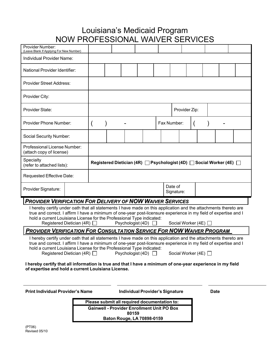### Louisiana's Medicaid Program NOW PROFESSIONAL WAIVER SERVICES

| <b>Provider Number:</b><br>(Leave Blank If Applying For New Number)                                                                                                                                                                                                                                                                                                                                                                                                                                                                                                           | I 1 J V V I I 1 I V JI LOUIUI 17 IL V V / I V LI I V LI I V IULU |               |  |  |  |             |                       |  |  |  |  |  |  |
|-------------------------------------------------------------------------------------------------------------------------------------------------------------------------------------------------------------------------------------------------------------------------------------------------------------------------------------------------------------------------------------------------------------------------------------------------------------------------------------------------------------------------------------------------------------------------------|------------------------------------------------------------------|---------------|--|--|--|-------------|-----------------------|--|--|--|--|--|--|
| Individual Provider Name:                                                                                                                                                                                                                                                                                                                                                                                                                                                                                                                                                     |                                                                  |               |  |  |  |             |                       |  |  |  |  |  |  |
| National Provider Identifier:                                                                                                                                                                                                                                                                                                                                                                                                                                                                                                                                                 |                                                                  |               |  |  |  |             |                       |  |  |  |  |  |  |
| <b>Provider Street Address:</b>                                                                                                                                                                                                                                                                                                                                                                                                                                                                                                                                               |                                                                  |               |  |  |  |             |                       |  |  |  |  |  |  |
| Provider City:                                                                                                                                                                                                                                                                                                                                                                                                                                                                                                                                                                |                                                                  |               |  |  |  |             |                       |  |  |  |  |  |  |
| Provider State:                                                                                                                                                                                                                                                                                                                                                                                                                                                                                                                                                               |                                                                  | Provider Zip: |  |  |  |             |                       |  |  |  |  |  |  |
| Provider Phone Number:                                                                                                                                                                                                                                                                                                                                                                                                                                                                                                                                                        |                                                                  |               |  |  |  | Fax Number: |                       |  |  |  |  |  |  |
|                                                                                                                                                                                                                                                                                                                                                                                                                                                                                                                                                                               | Social Security Number:                                          |               |  |  |  |             |                       |  |  |  |  |  |  |
| Professional License Number:<br>(attach copy of license)                                                                                                                                                                                                                                                                                                                                                                                                                                                                                                                      |                                                                  |               |  |  |  |             |                       |  |  |  |  |  |  |
| Specialty<br>(refer to attached lists):                                                                                                                                                                                                                                                                                                                                                                                                                                                                                                                                       | Registered Dietician (4R) Psychologist (4D) Social Worker (4E) D |               |  |  |  |             |                       |  |  |  |  |  |  |
| Requested Effective Date:                                                                                                                                                                                                                                                                                                                                                                                                                                                                                                                                                     |                                                                  |               |  |  |  |             |                       |  |  |  |  |  |  |
| Provider Signature:                                                                                                                                                                                                                                                                                                                                                                                                                                                                                                                                                           |                                                                  |               |  |  |  |             | Date of<br>Signature: |  |  |  |  |  |  |
| <b>PROVIDER VERIFICATION FOR DELIVERY OF NOW WAIVER SERVICES</b>                                                                                                                                                                                                                                                                                                                                                                                                                                                                                                              |                                                                  |               |  |  |  |             |                       |  |  |  |  |  |  |
| I hereby certify under oath that all statements I have made on this application and the attachments thereto are<br>true and correct. I affirm I have a minimum of one-year post-licensure experience in my field of expertise and I<br>hold a current Louisiana License for the Professional Type indicated:<br>Registered Dietician (4R) $\Box$<br>Psychologist (4D) $\Box$<br>Social Worker (4E) $\Box$                                                                                                                                                                     |                                                                  |               |  |  |  |             |                       |  |  |  |  |  |  |
| <b>PROVIDER VERIFICATION FOR CONSULTATION SERVICE FOR NOW WAIVER PROGRAM</b>                                                                                                                                                                                                                                                                                                                                                                                                                                                                                                  |                                                                  |               |  |  |  |             |                       |  |  |  |  |  |  |
| I hereby certify under oath that all statements I have made on this application and the attachments thereto are<br>true and correct. I affirm I have a minimum of one-year post-licensure experience in my field of expertise and I<br>hold a current Louisiana License for the Professional Type indicated:<br>Registered Dietician (4R) $\Box$<br>Psychologist (4D) $\Box$<br>Social Worker (4E) $\Box$<br>I hereby certify that all information is true and that I have a minimum of one-year experience in my field<br>of expertise and hold a current Louisiana License. |                                                                  |               |  |  |  |             |                       |  |  |  |  |  |  |
| <b>Print Individual Provider's Name</b><br><b>Individual Provider's Signature</b><br><b>Date</b><br>Please submit all required documentation to:                                                                                                                                                                                                                                                                                                                                                                                                                              |                                                                  |               |  |  |  |             |                       |  |  |  |  |  |  |

**Please submit all required documentation to: Gainwell - Provider Enrollment Unit PO Box 80159 Baton Rouge, LA 70898-0159**